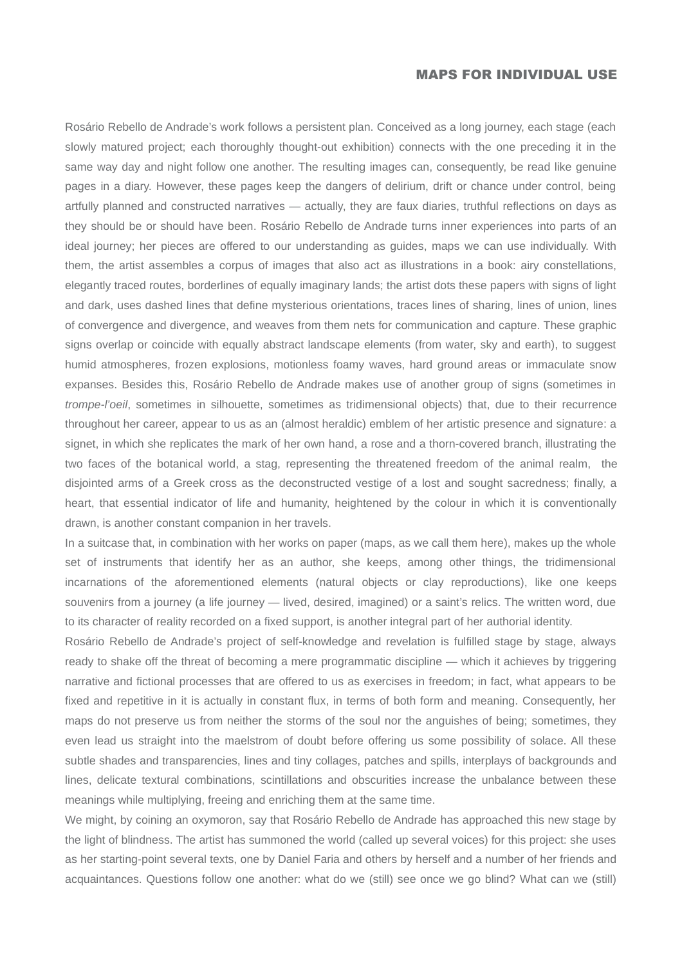## MAPS FOR INDIVIDUAL USE

Rosário Rebello de Andrade's work follows a persistent plan. Conceived as a long journey, each stage (each slowly matured project; each thoroughly thought-out exhibition) connects with the one preceding it in the same way day and night follow one another. The resulting images can, consequently, be read like genuine pages in a diary. However, these pages keep the dangers of delirium, drift or chance under control, being artfully planned and constructed narratives — actually, they are faux diaries, truthful reflections on days as they should be or should have been. Rosário Rebello de Andrade turns inner experiences into parts of an ideal journey; her pieces are offered to our understanding as guides, maps we can use individually. With them, the artist assembles a corpus of images that also act as illustrations in a book: airy constellations, elegantly traced routes, borderlines of equally imaginary lands; the artist dots these papers with signs of light and dark, uses dashed lines that define mysterious orientations, traces lines of sharing, lines of union, lines of convergence and divergence, and weaves from them nets for communication and capture. These graphic signs overlap or coincide with equally abstract landscape elements (from water, sky and earth), to suggest humid atmospheres, frozen explosions, motionless foamy waves, hard ground areas or immaculate snow expanses. Besides this, Rosário Rebello de Andrade makes use of another group of signs (sometimes in *trompe-l'oeil*, sometimes in silhouette, sometimes as tridimensional objects) that, due to their recurrence throughout her career, appear to us as an (almost heraldic) emblem of her artistic presence and signature: a signet, in which she replicates the mark of her own hand, a rose and a thorn-covered branch, illustrating the two faces of the botanical world, a stag, representing the threatened freedom of the animal realm, the disjointed arms of a Greek cross as the deconstructed vestige of a lost and sought sacredness; finally, a heart, that essential indicator of life and humanity, heightened by the colour in which it is conventionally drawn, is another constant companion in her travels.

In a suitcase that, in combination with her works on paper (maps, as we call them here), makes up the whole set of instruments that identify her as an author, she keeps, among other things, the tridimensional incarnations of the aforementioned elements (natural objects or clay reproductions), like one keeps souvenirs from a journey (a life journey — lived, desired, imagined) or a saint's relics. The written word, due to its character of reality recorded on a fixed support, is another integral part of her authorial identity.

Rosário Rebello de Andrade's project of self-knowledge and revelation is fulfilled stage by stage, always ready to shake off the threat of becoming a mere programmatic discipline — which it achieves by triggering narrative and fictional processes that are offered to us as exercises in freedom; in fact, what appears to be fixed and repetitive in it is actually in constant flux, in terms of both form and meaning. Consequently, her maps do not preserve us from neither the storms of the soul nor the anguishes of being; sometimes, they even lead us straight into the maelstrom of doubt before offering us some possibility of solace. All these subtle shades and transparencies, lines and tiny collages, patches and spills, interplays of backgrounds and lines, delicate textural combinations, scintillations and obscurities increase the unbalance between these meanings while multiplying, freeing and enriching them at the same time.

We might, by coining an oxymoron, say that Rosário Rebello de Andrade has approached this new stage by the light of blindness. The artist has summoned the world (called up several voices) for this project: she uses as her starting-point several texts, one by Daniel Faria and others by herself and a number of her friends and acquaintances. Questions follow one another: what do we (still) see once we go blind? What can we (still)